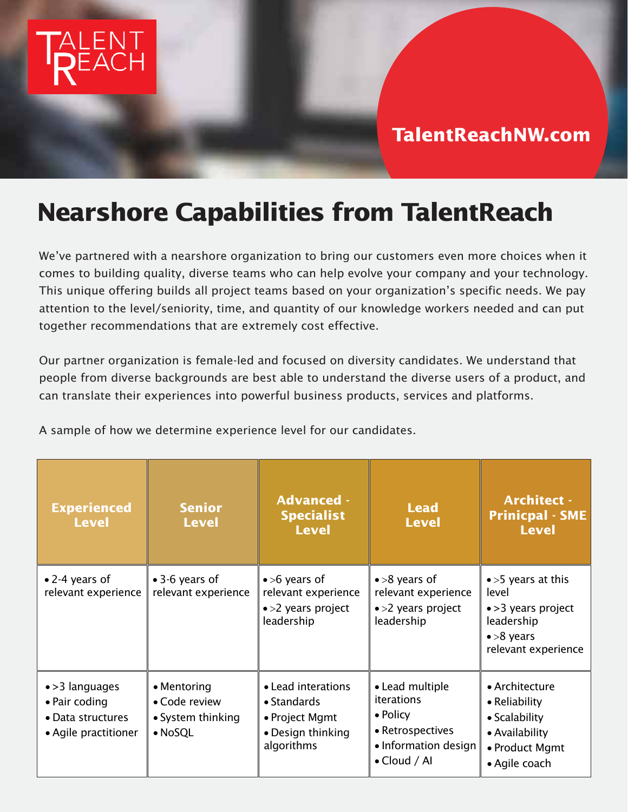

## **TalentReachNW.com TalentReachNW.com**

## **Nearshore Capabilities from TalentReach**

*We've partnered with a nearshore organization to bring our customers even more choices when it comes to building quality, diverse teams who can help evolve your company and your technology. This unique offering builds all project teams based on your organization's specific needs. We pay attention to the level/seniority, time, and quantity of our knowledge workers needed and can put together recommendations that are extremely cost effective.*

*Our partner organization is female-led and focused on diversity candidates. We understand that people from diverse backgrounds are best able to understand the diverse users of a product, and can translate their experiences into powerful business products, services and platforms.* 

*A sample of how we determine experience level for our candidates.*

| <b>Experienced</b><br><b>Level</b>                                            | <b>Senior</b><br><b>Level</b>                                        | <b>Advanced -</b><br><b>Specialist</b><br><b>Level</b>                                         | <b>Lead</b><br><b>Level</b>                                                                                   | <b>Architect -</b><br><b>Prinicpal - SME</b><br><b>Level</b>                                                          |
|-------------------------------------------------------------------------------|----------------------------------------------------------------------|------------------------------------------------------------------------------------------------|---------------------------------------------------------------------------------------------------------------|-----------------------------------------------------------------------------------------------------------------------|
| • 2-4 years of<br>relevant experience                                         | • 3-6 years of<br>relevant experience                                | $\bullet$ >6 years of<br>relevant experience<br>• > 2 years project<br>leadership              | $\bullet$ >8 years of<br>relevant experience<br>$\bullet$ >2 years project<br>leadership                      | $\bullet$ >5 years at this<br>level<br>• > 3 years project<br>leadership<br>$\bullet$ >8 years<br>relevant experience |
| • > 3 languages<br>• Pair coding<br>• Data structures<br>• Agile practitioner | • Mentoring<br>• Code review<br>• System thinking<br>$\bullet$ NoSQL | • Lead interations<br>$\bullet$ Standards<br>• Project Mgmt<br>• Design thinking<br>algorithms | • Lead multiple<br>iterations<br>• Policy<br>• Retrospectives<br>• Information design<br>$\bullet$ Cloud / Al | • Architecture<br>• Reliability<br>• Scalability<br>• Availability<br>• Product Mgmt<br>• Agile coach                 |